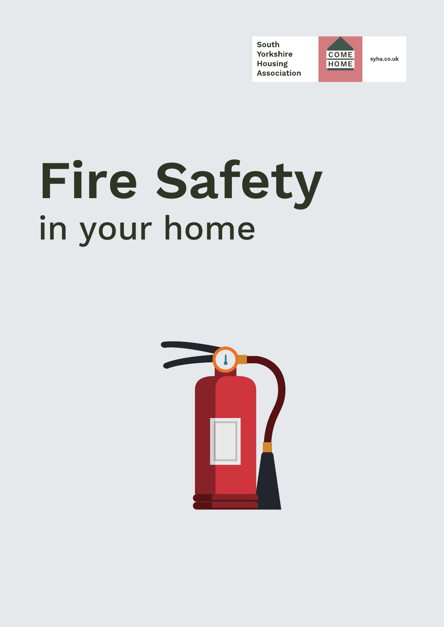South Yorkshire **Housing Association** 



syha.co.uk

# **Fire Safety** in your home

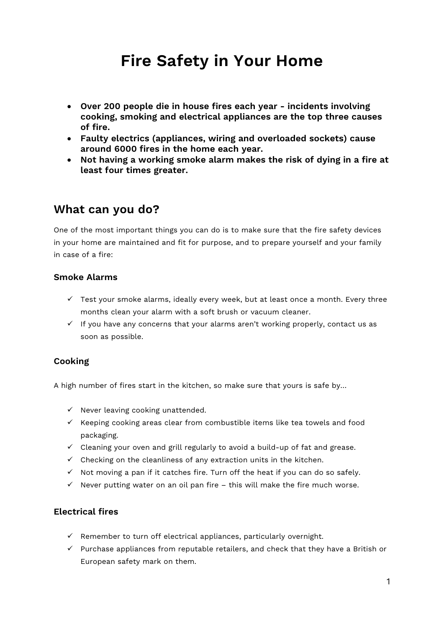# **Fire Safety in Your Home**

- **Over 200 people die in house fires each year - incidents involving cooking, smoking and electrical appliances are the top three causes of fire.**
- **Faulty electrics (appliances, wiring and overloaded sockets) cause around 6000 fires in the home each year.**
- **Not having a working smoke alarm makes the risk of dying in a fire at least four times greater.**

### **What can you do?**

One of the most important things you can do is to make sure that the fire safety devices in your home are maintained and fit for purpose, and to prepare yourself and your family in case of a fire:

#### **Smoke Alarms**

- $\checkmark$  Test your smoke alarms, ideally every week, but at least once a month. Every three months clean your alarm with a soft brush or vacuum cleaner.
- $\checkmark$  If you have any concerns that your alarms aren't working properly, contact us as soon as possible.

#### **Cooking**

A high number of fires start in the kitchen, so make sure that yours is safe by…

- $\checkmark$  Never leaving cooking unattended.
- $\checkmark$  Keeping cooking areas clear from combustible items like tea towels and food packaging.
- $\checkmark$  Cleaning your oven and grill regularly to avoid a build-up of fat and grease.
- $\checkmark$  Checking on the cleanliness of any extraction units in the kitchen.
- $\checkmark$  Not moving a pan if it catches fire. Turn off the heat if you can do so safely.
- $\checkmark$  Never putting water on an oil pan fire this will make the fire much worse.

#### **Electrical fires**

- $\checkmark$  Remember to turn off electrical appliances, particularly overnight.
- $\checkmark$  Purchase appliances from reputable retailers, and check that they have a British or European safety mark on them.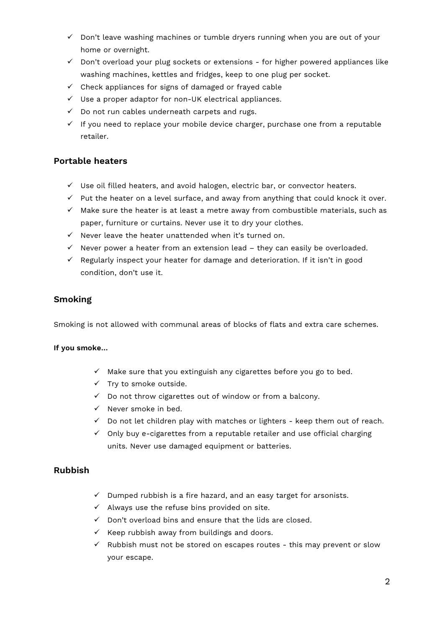- $\checkmark$  Don't leave washing machines or tumble dryers running when you are out of your home or overnight.
- $\checkmark$  Don't overload your plug sockets or extensions for higher powered appliances like washing machines, kettles and fridges, keep to one plug per socket.
- $\checkmark$  Check appliances for signs of damaged or frayed cable
- $\checkmark$  Use a proper adaptor for non-UK electrical appliances.
- $\checkmark$  Do not run cables underneath carpets and rugs.
- $\checkmark$  If you need to replace your mobile device charger, purchase one from a reputable retailer.

#### **Portable heaters**

- $\checkmark$  Use oil filled heaters, and avoid halogen, electric bar, or convector heaters.
- $\checkmark$  Put the heater on a level surface, and away from anything that could knock it over.
- $\checkmark$  Make sure the heater is at least a metre away from combustible materials, such as paper, furniture or curtains. Never use it to dry your clothes.
- $\checkmark$  Never leave the heater unattended when it's turned on.
- $\checkmark$  Never power a heater from an extension lead they can easily be overloaded.
- $\checkmark$  Regularly inspect your heater for damage and deterioration. If it isn't in good condition, don't use it.

#### **Smoking**

Smoking is not allowed with communal areas of blocks of flats and extra care schemes.

#### **If you smoke…**

- $\checkmark$  Make sure that you extinguish any cigarettes before you go to bed.
- $\checkmark$  Try to smoke outside.
- $\checkmark$  Do not throw cigarettes out of window or from a balcony.
- $\checkmark$  Never smoke in bed.
- $\checkmark$  Do not let children play with matches or lighters keep them out of reach.
- $\checkmark$  Only buy e-cigarettes from a reputable retailer and use official charging units. Never use damaged equipment or batteries.

#### **Rubbish**

- $\checkmark$  Dumped rubbish is a fire hazard, and an easy target for arsonists.
- $\checkmark$  Always use the refuse bins provided on site.
- $\checkmark$  Don't overload bins and ensure that the lids are closed.
- $\checkmark$  Keep rubbish away from buildings and doors.
- $\checkmark$  Rubbish must not be stored on escapes routes this may prevent or slow your escape.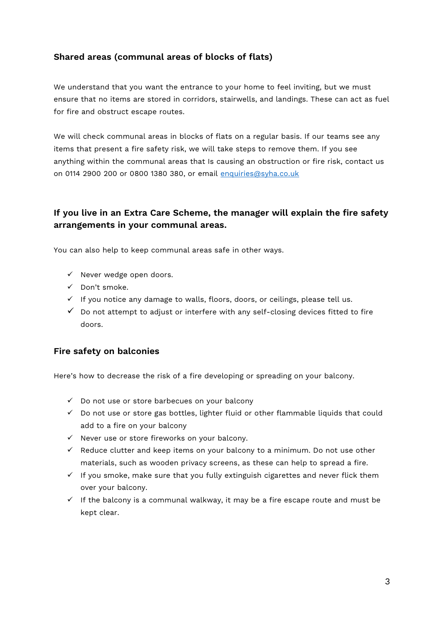#### **Shared areas (communal areas of blocks of flats)**

We understand that you want the entrance to your home to feel inviting, but we must ensure that no items are stored in corridors, stairwells, and landings. These can act as fuel for fire and obstruct escape routes.

We will check communal areas in blocks of flats on a regular basis. If our teams see any items that present a fire safety risk, we will take steps to remove them. If you see anything within the communal areas that Is causing an obstruction or fire risk, contact us on 0114 2900 200 or 0800 1380 380, or email [enquiries@syha.co.uk](mailto:enquiries@syha.co.uk)

#### **If you live in an Extra Care Scheme, the manager will explain the fire safety arrangements in your communal areas.**

You can also help to keep communal areas safe in other ways.

- $\checkmark$  Never wedge open doors.
- $\checkmark$  Don't smoke.
- $\checkmark$  If you notice any damage to walls, floors, doors, or ceilings, please tell us.
- $\checkmark$  Do not attempt to adjust or interfere with any self-closing devices fitted to fire doors.

#### **Fire safety on balconies**

Here's how to decrease the risk of a fire developing or spreading on your balcony.

- $\checkmark$  Do not use or store barbecues on your balcony
- $\checkmark$  Do not use or store gas bottles, lighter fluid or other flammable liquids that could add to a fire on your balcony
- $\checkmark$  Never use or store fireworks on your balcony.
- $\checkmark$  Reduce clutter and keep items on your balcony to a minimum. Do not use other materials, such as wooden privacy screens, as these can help to spread a fire.
- $\checkmark$  If you smoke, make sure that you fully extinguish cigarettes and never flick them over your balcony.
- $\checkmark$  If the balcony is a communal walkway, it may be a fire escape route and must be kept clear.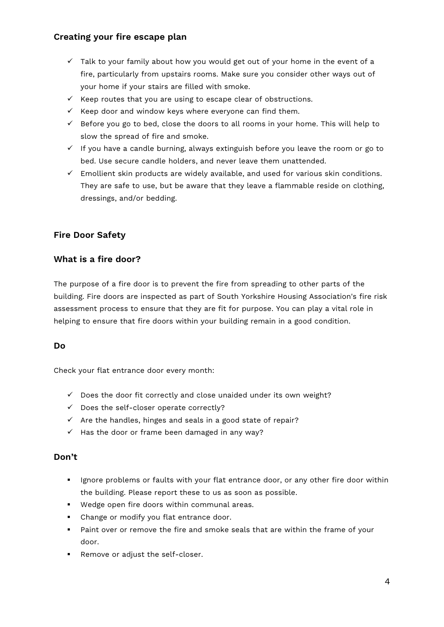#### **Creating your fire escape plan**

- $\checkmark$  Talk to your family about how you would get out of your home in the event of a fire, particularly from upstairs rooms. Make sure you consider other ways out of your home if your stairs are filled with smoke.
- $\checkmark$  Keep routes that you are using to escape clear of obstructions.
- $\checkmark$  Keep door and window keys where everyone can find them.
- $\checkmark$  Before you go to bed, close the doors to all rooms in your home. This will help to slow the spread of fire and smoke.
- $\checkmark$  If you have a candle burning, always extinguish before you leave the room or go to bed. Use secure candle holders, and never leave them unattended.
- $\checkmark$  Emollient skin products are widely available, and used for various skin conditions. They are safe to use, but be aware that they leave a flammable reside on clothing, dressings, and/or bedding.

#### **Fire Door Safety**

#### **What is a fire door?**

The purpose of a fire door is to prevent the fire from spreading to other parts of the building. Fire doors are inspected as part of South Yorkshire Housing Association's fire risk assessment process to ensure that they are fit for purpose. You can play a vital role in helping to ensure that fire doors within your building remain in a good condition.

#### **Do**

Check your flat entrance door every month:

- $\checkmark$  Does the door fit correctly and close unaided under its own weight?
- $\checkmark$  Does the self-closer operate correctly?
- $\checkmark$  Are the handles, hinges and seals in a good state of repair?
- $\checkmark$  Has the door or frame been damaged in any way?

#### **Don't**

- If Ignore problems or faults with your flat entrance door, or any other fire door within the building. Please report these to us as soon as possible.
- Wedge open fire doors within communal areas.
- **•** Change or modify you flat entrance door.
- Paint over or remove the fire and smoke seals that are within the frame of your door.
- **Remove or adjust the self-closer.**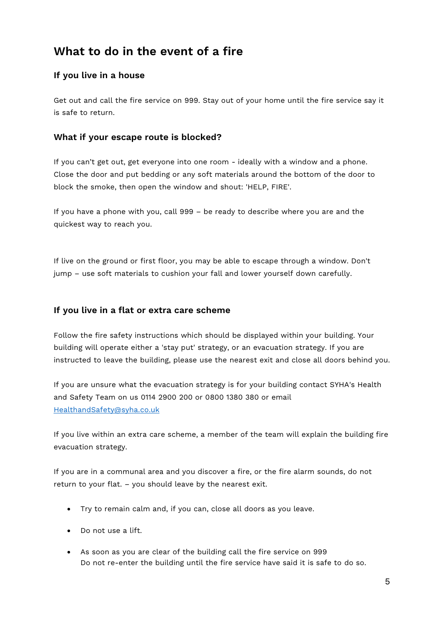## **What to do in the event of a fire**

#### **If you live in a house**

Get out and call the fire service on 999. Stay out of your home until the fire service say it is safe to return.

#### **What if your escape route is blocked?**

If you can't get out, get everyone into one room - ideally with a window and a phone. Close the door and put bedding or any soft materials around the bottom of the door to block the smoke, then open the window and shout: 'HELP, FIRE'.

If you have a phone with you, call 999 – be ready to describe where you are and the quickest way to reach you.

If live on the ground or first floor, you may be able to escape through a window. Don't jump – use soft materials to cushion your fall and lower yourself down carefully.

#### **If you live in a flat or extra care scheme**

Follow the fire safety instructions which should be displayed within your building. Your building will operate either a 'stay put' strategy, or an evacuation strategy. If you are instructed to leave the building, please use the nearest exit and close all doors behind you.

If you are unsure what the evacuation strategy is for your building contact SYHA's Health and Safety Team on us 0114 2900 200 or 0800 1380 380 or email [HealthandSafety@syha.co.uk](mailto:HealthandSafety@syha.co.uk)

If you live within an extra care scheme, a member of the team will explain the building fire evacuation strategy.

If you are in a communal area and you discover a fire, or the fire alarm sounds, do not return to your flat. – you should leave by the nearest exit.

- Try to remain calm and, if you can, close all doors as you leave.
- Do not use a lift.
- As soon as you are clear of the building call the fire service on 999 Do not re-enter the building until the fire service have said it is safe to do so.